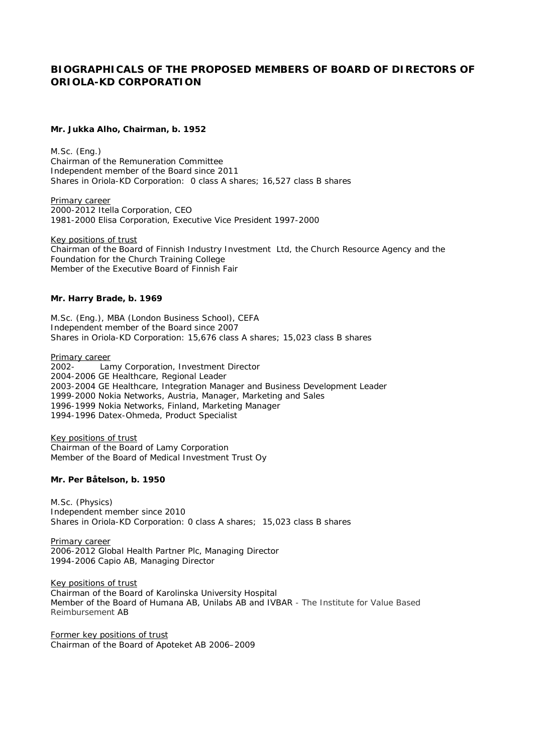## **BIOGRAPHICALS OF THE PROPOSED MEMBERS OF BOARD OF DIRECTORS OF ORIOLA-KD CORPORATION**

**Mr. Jukka Alho, Chairman, b. 1952**

M.Sc. (Eng.) Chairman of the Remuneration Committee Independent member of the Board since 2011 Shares in Oriola-KD Corporation: 0 class A shares; 16,527 class B shares

Primary career 2000-2012 Itella Corporation, CEO 1981-2000 Elisa Corporation, Executive Vice President 1997-2000

Key positions of trust Chairman of the Board of Finnish Industry Investment Ltd, the Church Resource Agency and the Foundation for the Church Training College Member of the Executive Board of Finnish Fair

**Mr. Harry Brade, b. 1969**

M.Sc. (Eng.), MBA (London Business School), CEFA Independent member of the Board since 2007 Shares in Oriola-KD Corporation: 15,676 class A shares; 15,023 class B shares

Primary career

2002- Lamy Corporation, Investment Director 2004-2006 GE Healthcare, Regional Leader 2003-2004 GE Healthcare, Integration Manager and Business Development Leader 1999-2000 Nokia Networks, Austria, Manager, Marketing and Sales 1996-1999 Nokia Networks, Finland, Marketing Manager 1994-1996 Datex-Ohmeda, Product Specialist

Key positions of trust Chairman of the Board of Lamy Corporation Member of the Board of Medical Investment Trust Oy

**Mr. Per Båtelson, b. 1950**

M.Sc. (Physics) Independent member since 2010 Shares in Oriola-KD Corporation: 0 class A shares; 15,023 class B shares

Primary career 2006-2012 Global Health Partner Plc, Managing Director 1994-2006 Capio AB, Managing Director

Key positions of trust Chairman of the Board of Karolinska University Hospital Member of the Board of Humana AB, Unilabs AB and IVBAR - The Institute for Value Based Reimbursement AB

Former key positions of trust Chairman of the Board of Apoteket AB 2006–2009